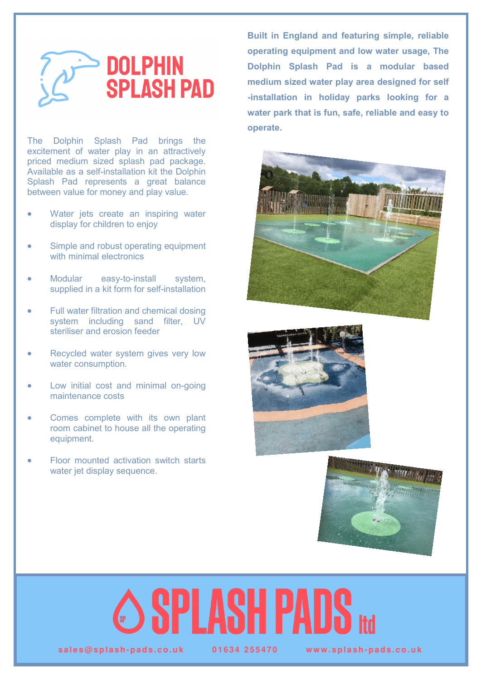

The Dolphin Splash Pad brings the excitement of water play in an attractively priced medium sized splash pad package. Available as a self-installation kit the Dolphin Splash Pad represents a great balance between value for money and play value.

- Water jets create an inspiring water display for children to enjoy
- Simple and robust operating equipment with minimal electronics
- Modular easy-to-install system, supplied in a kit form for self-installation
- Full water filtration and chemical dosing system including sand filter, UV steriliser and erosion feeder
- Recycled water system gives very low water consumption.
- Low initial cost and minimal on-going maintenance costs
- Comes complete with its own plant room cabinet to house all the operating equipment.
- Floor mounted activation switch starts water jet display sequence.

**Built in England and featuring simple, reliable operating equipment and low water usage, The Dolphin Splash Pad is a modular based medium sized water play area designed for self -installation in holiday parks looking for a water park that is fun, safe, reliable and easy to operate.** 







## SPLASH PAUS

 $sales@splash-pads.co.uk$   $0.1634255470$  www.splash-pads.co.uk